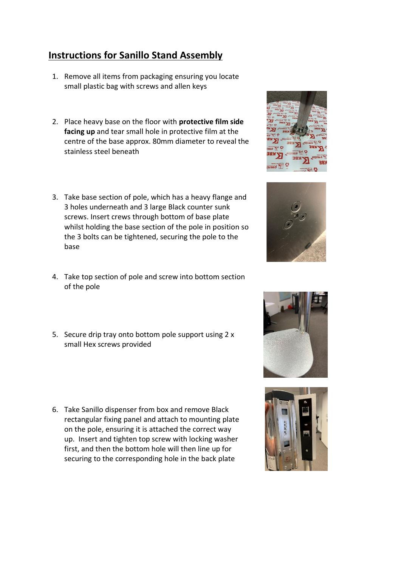## **Instructions for Sanillo Stand Assembly**

- 1. Remove all items from packaging ensuring you locate small plastic bag with screws and allen keys
- 2. Place heavy base on the floor with **protective film side facing up** and tear small hole in protective film at the centre of the base approx. 80mm diameter to reveal the stainless steel beneath
- 3. Take base section of pole, which has a heavy flange and 3 holes underneath and 3 large Black counter sunk screws. Insert crews through bottom of base plate whilst holding the base section of the pole in position so the 3 bolts can be tightened, securing the pole to the base
- 4. Take top section of pole and screw into bottom section of the pole
- 5. Secure drip tray onto bottom pole support using 2 x small Hex screws provided
- 6. Take Sanillo dispenser from box and remove Black rectangular fixing panel and attach to mounting plate on the pole, ensuring it is attached the correct way up. Insert and tighten top screw with locking washer first, and then the bottom hole will then line up for securing to the corresponding hole in the back plate